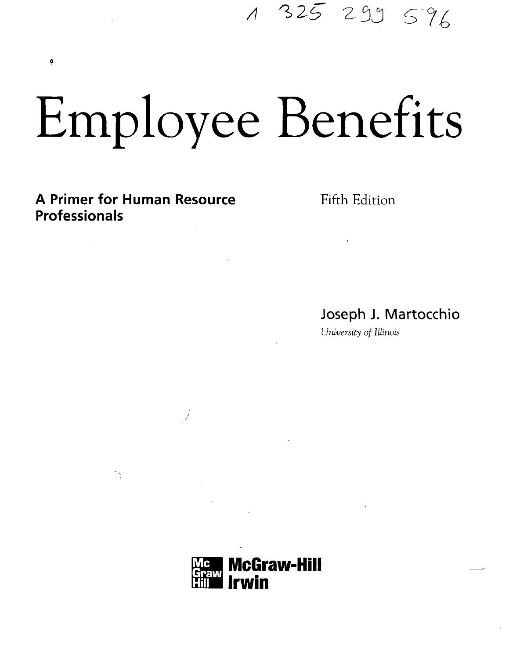Employee Benefits

**A Primer for Human Resource** Fifth Edition **Professionals**

ø

A 325 299 596

Joseph J. Martocchio

*University of Illinois*

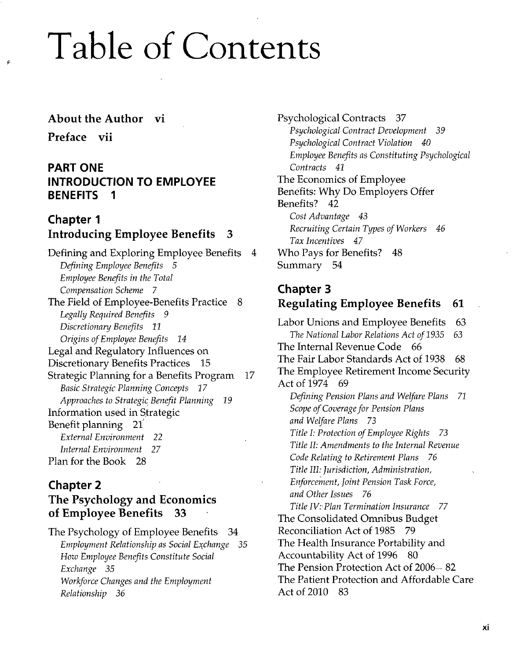# Table of Contents

#### About the Author vi

Preface vii

#### **PART ONE INTRODUCTION TO EMPLOYEE BENEFITS 1**

#### **Chapter 1** Introducing Employee Benefits 3

Defining and Exploring Employee Benefits 4 *Defining Employee Benefits 5 Employee Benefits in the Total Compensation Scheme 7* The Field of Employee-Benefits Practice 8 *Legally Required Benefits 9 Discretionary Benefits 11 Origins of Employee Benefits 14* Legal and Regulatory Influences on Discretionary Benefits Practices 15 Strategic Planning for a Benefits Program 17 *Basic Strategic Planning Concepts 17 Approaches to Strategic Benefit Planning 19* Information used in Strategic Benefit planning 21 *External Environment 22 Internal Environment* 27 Plan for the Book 28

# **Chapter 2**

#### The Psychology and Economics of Employee Benefits 33

The Psychology of Employee Benefits 34 *Employment Relationship as Social Exchange 35 How Employee Benefits Constitute Social Exchange 35 Workforce Changes and the Employment Relationship 36*

Psychological Contracts 37 *Psychological Contract Development 39 Psychological Contract Violation 40 Employee Benefits as Constituting Psychological Contracts 41* The Economics of Employee Benefits: Why Do Employers Offer Benefits? 42 Cost *Advantage 43 Recruiting Certain Types of Workers 46 Tax Incentives 47* Who Pays for Benefits? 48 Summary 54

#### **Chapter 3** Regulating Employee Benefits 61

Labor Unions and Employee Benefits 63 *The National Labor Relations Act of 1935 63* The Internal Revenue Code 66 The Fair Labor Standards Act of 1938 68 The Employee Retirement Income Security Act of 1974 69 *Defining Pension Plans and Welfare Plans 71 Scope of Coverage for Pension Plans and Welfare Plans 73 Title I: Protection of Employee Rights 73 Title II: Amendments to the Internal Revenue Code Relating to Retirement Plans 76 Title III: Jurisdiction, Administration, Enforcement, Joint Pension Task Force, and Other Issues 76 Title IV: Plan Termination Insurance 77* The Consolidated Omnibus Budget Reconciliation Act of 1985 79 The Health Insurance Portability and Accountability Act of 1996 80 The Pension Protection Act of 2006 - 82 The Patient Protection and Affordable Care Act of 2010 83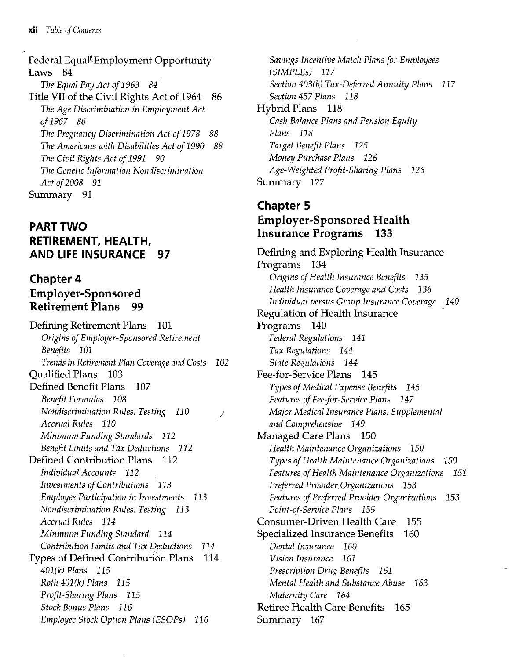Federal Equal<sup>\*</sup>Employment Opportunity Laws 84 *The Equal Pay Act of 1963 84* Title VII of the Civil Rights Act of 1964 86 *The Age Discrimination in Employment Act of 1967 86 The Pregnancy Discrimination Act of 1978 88 The Americans with Disabilities Act of 1990 88 The Civil Rights Act of 1991 90 The Genetic Information Nondiscrimination Act of 2008 91* Summary 91

# **PART TWO RETIREMENT, HEALTH, AND LIFE INSURANCE 97**

#### **Chapter 4** Employer-Sponsored Retirement Plans 99

Defining Retirement Plans 101 *Origins of Employer-Sponsored Retirement Benefits 101 Trends in Retirement Plan Coverage and Costs 102* Qualified Plans 103 Defined Benefit Plans 107 *Benefit Formulas 108 Nondiscrimination Rules: Testing 110* Î, *Accrual Rules 110 Minimum Funding Standards 112 Benefit Limits and Tax Deductions 112* Defined Contribution Plans 112 *Individual Accounts 112 Investments of Contributions 113 Employee Participation in Investments 113 Nondiscrimination Rules: Testing 113 Accrual Rules 114 Minimum Funding Standard 114 Contribution Limits and Tax Deductions 114* Types of Defined Contribution Plans 114 *401(k) Plans 115 Roth 401(k) Plans 115 Profit-Sharing Plans 115 Stock Bonus Plans 116 Employee Stock Option Plans (ESOPs) 116*

*Savings Incentive Match Plans for Employees (SIMPLEs) 117 Section 403(b) Tax-Deferred Annuity Plans 117 Section 457 Plans 118* Hybrid Plans 118 *Cash Balance Plans and Pension Equity Plans 118 Target Benefit Plans 125 Money Purchase Plans 126 Age-Weighted Profit-Sharing Plans 126* Summary 127

#### **Chapter 5** Employer-Sponsored Health Insurance Programs 133

Defining and Exploring Health Insurance Programs 134 *Origins of Health Insurance Benefits 135 Health Insurance Coverage and Costs 136 Individual versus Group Insurance Coverage 140* Regulation of Health Insurance Programs 140 *Federal Regulations 141 Tax Regulations 144 State Regulations 144* Fee-for-Service Plans 145 *Types of Medical Expense Benefits 145 Features of Fee-for-Service Plans 147 Major Medical Insurance Plans: Supplemental and Comprehensive 149* Managed Care Plans 150 *Health Maintenance Organizations 150 Types of Health Maintenance Organizations 150 Features of Health Maintenance Organizations 151 Preferred Provider.Organizations 153 Features of Preferred Provider Organizations 153 Point-of-Service Plans 155* Consumer-Driven Health Care 155 Specialized Insurance Benefits 160 *Dental Insurance 160 Vision Insurance 161 Prescription Drug Benefits 161 Mental Health and Substance Abuse 163 Maternity Care 164* Retiree Health Care Benefits 165 Summary 167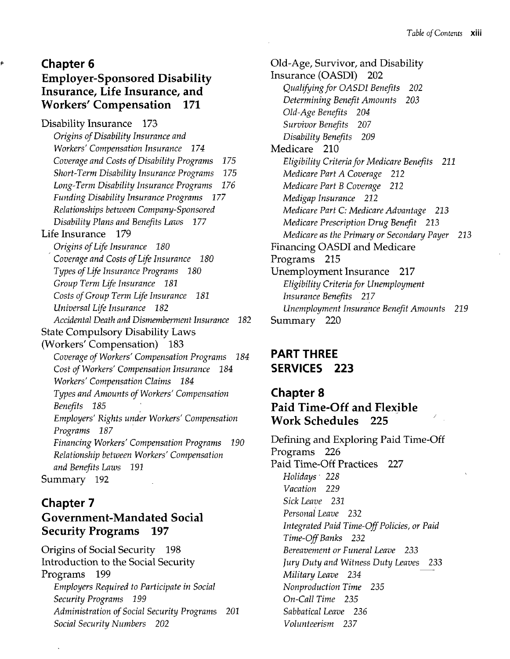#### **Chapter 6** Employer-Sponsored Disability Insurance, Life Insurance, and Workers' Compensation 171

¢

Disability Insurance 173 *Origins of Disability Insurance and Workers' Compensation Insurance 174 Coverage and Costs of Disability Programs 175 Short-Term Disability Insurance Programs 175 Long-Term Disability Insurance Programs 176 Funding Disability Insurance Programs 177 Relationships between Company-Sponsored Disability Plans and Benefits Laws 177* Life Insurance 179 *Origins of Life Insurance 180 Coverage and Costs of Life Insurance 180 Types of Life Insurance Programs 180 Group Term Life Insurance 181 Costs of Group Term Life Insurance 181 Universal Life Insurance 182 Accidental Death and Dismemberment Insurance 182* State Compulsory Disability Laws (Workers' Compensation) 183 *Coverage of Workers' Compensation Programs 184 Cost of Workers' Compensation Insurance 184 Workers' Compensation Claims 184 Types and Amounts of Workers' Compensation Benefits 185 Employers' Rights under Workers' Compensation Programs 187 Financing Workers' Compensation Programs 190 Relationship between Workers' Compensation and Benefits Laws 191* Summary 192

# **Chapter 7** Government-Mandated Social Security Programs 197

Origins of Social Security 198 Introduction to the Social Security Programs 199 *Employers Required to Participate in Social Security Programs 199 Administration of Social Security Programs 201 Social Security Numbers 202*

Old-Age, Survivor, and Disability Insurance (OASDI) 202 *Qualifying for OASDI Benefits 202 Determining Benefit Amounts 203 Old-Age Benefits 204 Survivor Benefits 207 Disability Benefits 209* Medicare 210 *Eligibility Criteria for Medicare Benefits 211 Medicare Part A Coverage 212 Medicare Part B Coverage 212 Medigap Insurance 212 Medicare Part C: Medicare Advantage 213 Medicare Prescription Drug Benefit 213 Medicare as the Primary or Secondary Payer 213* Financing OASDI and Medicare Programs 215 Unemployment Insurance 217 *Eligibility Criteria for Unemployment Insurance Benefits 217 Unemployment Insurance Benefit Amounts 219* Summary 220

# **PART THREE SERVICES 223**

#### **Chapter 8** Paid Time-Off and Flexible Work Schedules 225

Defining and Exploring Paid Time-Off Programs 226 Paid Time-Off Practices 227 *Holidays- 228 Vacation 229 Sick Leave 231 Personal Leave 232 Integrated Paid Time-Off Policies, or Paid Time-Off Banks 232 Bereavement or Funeral Leave 233 Jury Duty and Witness Duty Leaves 233 Military Leave 234 Nonproduction Time 235 On-Call Time 235 Sabbatical Leave 236 Volunteerism 237*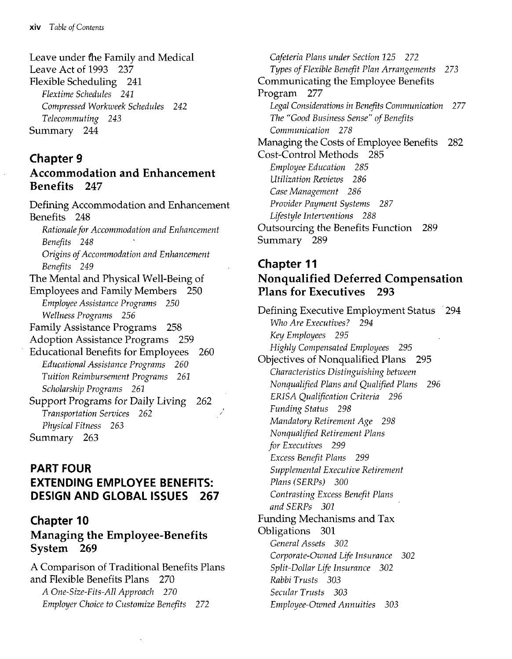Leave under the Family and Medical Leave Act of 1993 237 Flexible Scheduling 241 *Flextime Schedules 241 Compressed Workweek Schedules 242 Telecommuting 243* Summary 244

#### **Chapter 9** Accommodation and Enhancement Benefits 247

Defining Accommodation and Enhancement Benefits 248 *Rationale for Accommodation and Enhancement Benefits 248 Origins of Accommodation and Enhancement Benefits 249* The Mental and Physical Weil-Being of Employees and Family Members 250 *Employee Assistance Programs 250 Wellness Programs 256* Family Assistance Programs 258 Adoption Assistance Programs 259 Educational Benefits for Employees 260 *Educational Assistance Programs 260 Tuition Reimbursement Programs 261 Scholarship Programs 261* Support Programs for Daily Living 262 *Transportation Services 262 Physical Fitness 263* Summary 263

# **PART FOUR EXTENDING EMPLOYEE BENEFITS: DESIGN AND GLOBAL ISSUES 267**

#### **Chapter 10** Managing the Employee-Benefits System 269

A Comparison of Traditional Benefits Plans and Flexible Benefits Plans 270 *A One-Size-Fits-All Approach 270 Employer Choice to Customize Benefits* 272

*Cafeteria Plans under Section 125 272 Types of Flexible Benefit Plan Arrangements 273* Communicating the Employee Benefits Program 277 *Legal Considerations in Benefits Communication 277 The "Good Business Sense" of Benefits Communication 278* Managing the Costs of Employee Benefits 282 Cost-Control Methods 285 *Employee Education 285 Utilization Reviews 286 Case Management 286 Provider Payment Systems 287 Lifestyle Interventions 288* Outsourcing the Benefits Function 289 Summary 289

#### **Chapter 11** Nonqualified Deferred Compensation Plans for Executives 293

Defining Executive Employment Status 294 *Who Are Executives ? 294 Key Employees 295 Highly Compensated Employees 295* Objectives of Nonqualified Plans 295 *Characteristics Distinguishing between Nonqualified Plans and Qualified Plans 296 ERISA Qualification Criteria 296 Funding Status 298 Mandatory Retirement Age 298 Nonqualified Retirement Plans for Executives 299 Excess Benefit Plans 299 Supplemental Executive Retirement Plans (SERPs) 300 Contrasting Excess Benefit Plans and SERPs 301* Funding Mechanisms and Tax Obligations 301 *General Assets 302 Corporate-Owned Life Insurance 302 Split-Dollar Life Insurance 302 Rabbi Trusts 303 Secular Trusts 303 Employee-Owned Annuities 303*